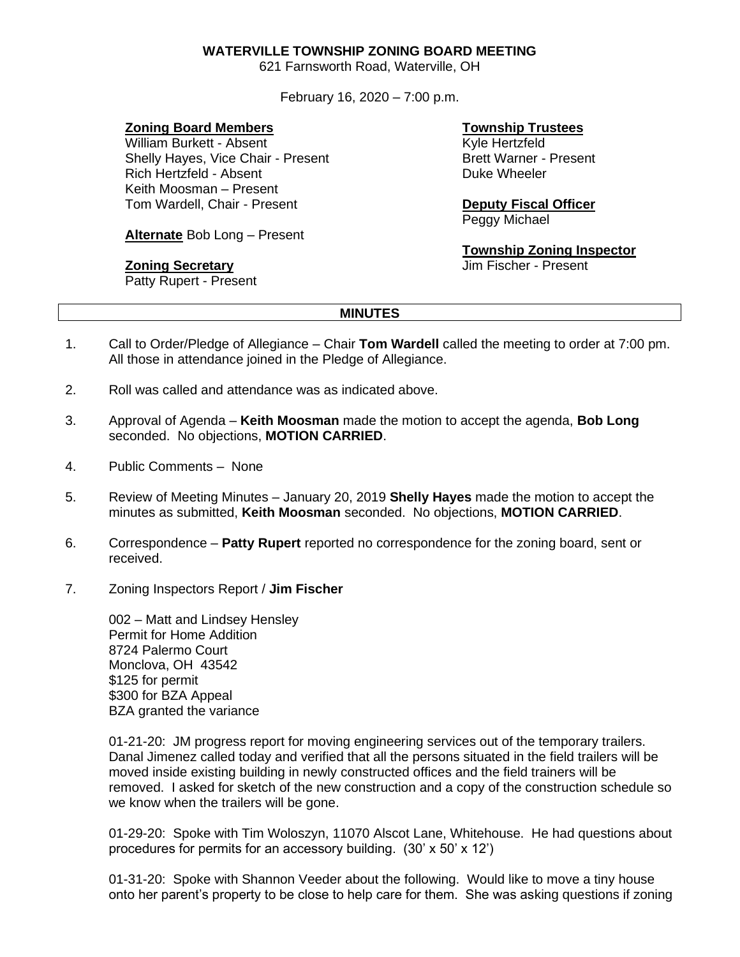## **WATERVILLE TOWNSHIP ZONING BOARD MEETING**

621 Farnsworth Road, Waterville, OH

February 16, 2020 – 7:00 p.m.

## **Zoning Board Members**

William Burkett - Absent Shelly Hayes, Vice Chair - Present Rich Hertzfeld - Absent Keith Moosman – Present Tom Wardell, Chair - Present

**Alternate** Bob Long – Present

## **Zoning Secretary**

Patty Rupert - Present

# **Township Trustees**

Kyle Hertzfeld Brett Warner - Present Duke Wheeler

# **Deputy Fiscal Officer**

Peggy Michael

## **Township Zoning Inspector**

Jim Fischer - Present

#### **MINUTES**

- 1. Call to Order/Pledge of Allegiance Chair **Tom Wardell** called the meeting to order at 7:00 pm. All those in attendance joined in the Pledge of Allegiance.
- 2. Roll was called and attendance was as indicated above.
- 3. Approval of Agenda **Keith Moosman** made the motion to accept the agenda, **Bob Long** seconded. No objections, **MOTION CARRIED**.
- 4. Public Comments None
- 5. Review of Meeting Minutes January 20, 2019 **Shelly Hayes** made the motion to accept the minutes as submitted, **Keith Moosman** seconded. No objections, **MOTION CARRIED**.
- 6. Correspondence **Patty Rupert** reported no correspondence for the zoning board, sent or received.
- 7. Zoning Inspectors Report / **Jim Fischer**

002 – Matt and Lindsey Hensley Permit for Home Addition 8724 Palermo Court Monclova, OH 43542 \$125 for permit \$300 for BZA Appeal BZA granted the variance

01-21-20: JM progress report for moving engineering services out of the temporary trailers. Danal Jimenez called today and verified that all the persons situated in the field trailers will be moved inside existing building in newly constructed offices and the field trainers will be removed. I asked for sketch of the new construction and a copy of the construction schedule so we know when the trailers will be gone.

01-29-20: Spoke with Tim Woloszyn, 11070 Alscot Lane, Whitehouse. He had questions about procedures for permits for an accessory building. (30' x 50' x 12')

01-31-20: Spoke with Shannon Veeder about the following. Would like to move a tiny house onto her parent's property to be close to help care for them. She was asking questions if zoning